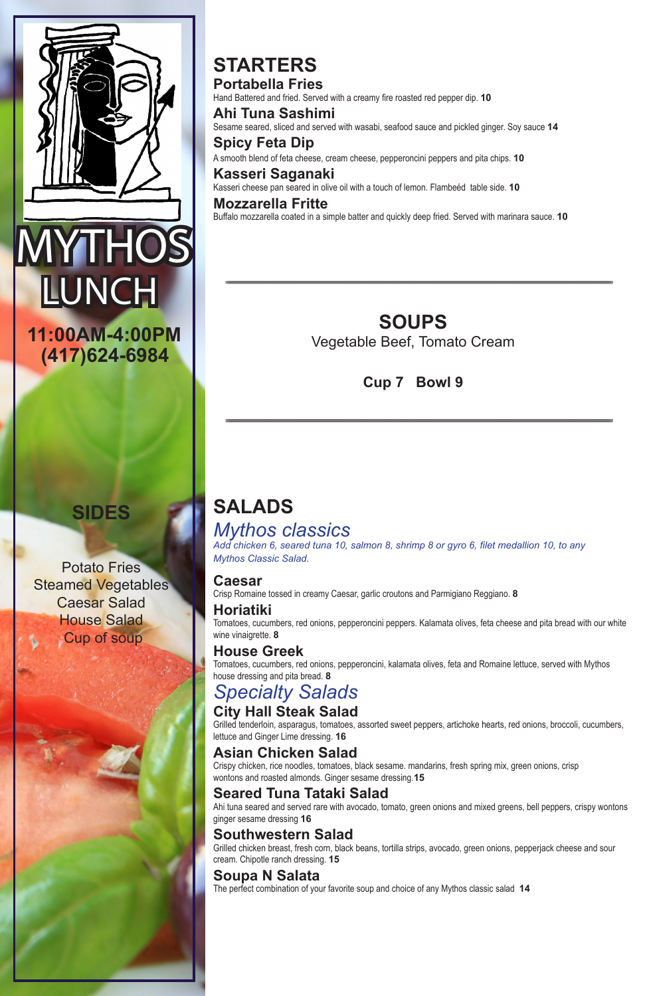# **STARTERS Portabella Fries**

Hand Battered and fried. Served with a creamy fire roasted red pepper dip. **10**

**Ahi Tuna Sashimi** Sesame seared, sliced and served with wasabi, seafood sauce and pickled ginger. Soy sauce **14**

**Spicy Feta Dip** A smooth blend of feta cheese, cream cheese, pepperoncini peppers and pita chips. **10**

**Kasseri Saganaki** Kasseri cheese pan seared in olive oil with a touch of lemon. Flambeéd table side. **10**

**Mozzarella Fritte** Buffalo mozzarella coated in a simple batter and quickly deep fried. Served with marinara sauce. **10**

# **SALADS** *Mythos classics*

*Add chicken 6, seared tuna 10, salmon 8, shrimp 8 or gyro 6, filet medallion 10, to any Mythos Classic Salad.*

### **Caesar**

Crisp Romaine tossed in creamy Caesar, garlic croutons and Parmigiano Reggiano. **8**

**Horiatiki**

Tomatoes, cucumbers, red onions, pepperoncini peppers. Kalamata olives, feta cheese and pita bread with our white wine vinaigrette. **8**

# **House Greek**

Tomatoes, cucumbers, red onions, pepperoncini, kalamata olives, feta and Romaine lettuce, served with Mythos house dressing and pita bread. **8**

# *Specialty Salads*

# **City Hall Steak Salad**

Grilled tenderloin, asparagus, tomatoes, assorted sweet peppers, artichoke hearts, red onions, broccoli, cucumbers,



lettuce and Ginger Lime dressing. **16**

### **Asian Chicken Salad**

Crispy chicken, rice noodles, tomatoes, black sesame. mandarins, fresh spring mix, green onions, crisp wontons and roasted almonds. Ginger sesame dressing.**15**

# **Seared Tuna Tataki Salad**

Ahi tuna seared and served rare with avocado, tomato, green onions and mixed greens, bell peppers, crispy wontons ginger sesame dressing **16**

# **Southwestern Salad**

Grilled chicken breast, fresh corn, black beans, tortilla strips, avocado, green onions, pepperjack cheese and sour cream. Chipotle ranch dressing. **15**

### **Soupa N Salata**

The perfect combination of your favorite soup and choice of any Mythos classic salad **14**



**(417)624-6984**

**11:00AM-4:00PM SOUPS** Vegetable Beef, Tomato Cream

**Cup 7 Bowl 9**

# **SIDES**

Potato Fries Steamed Vegetables Caesar Salad House Salad Cup of soup